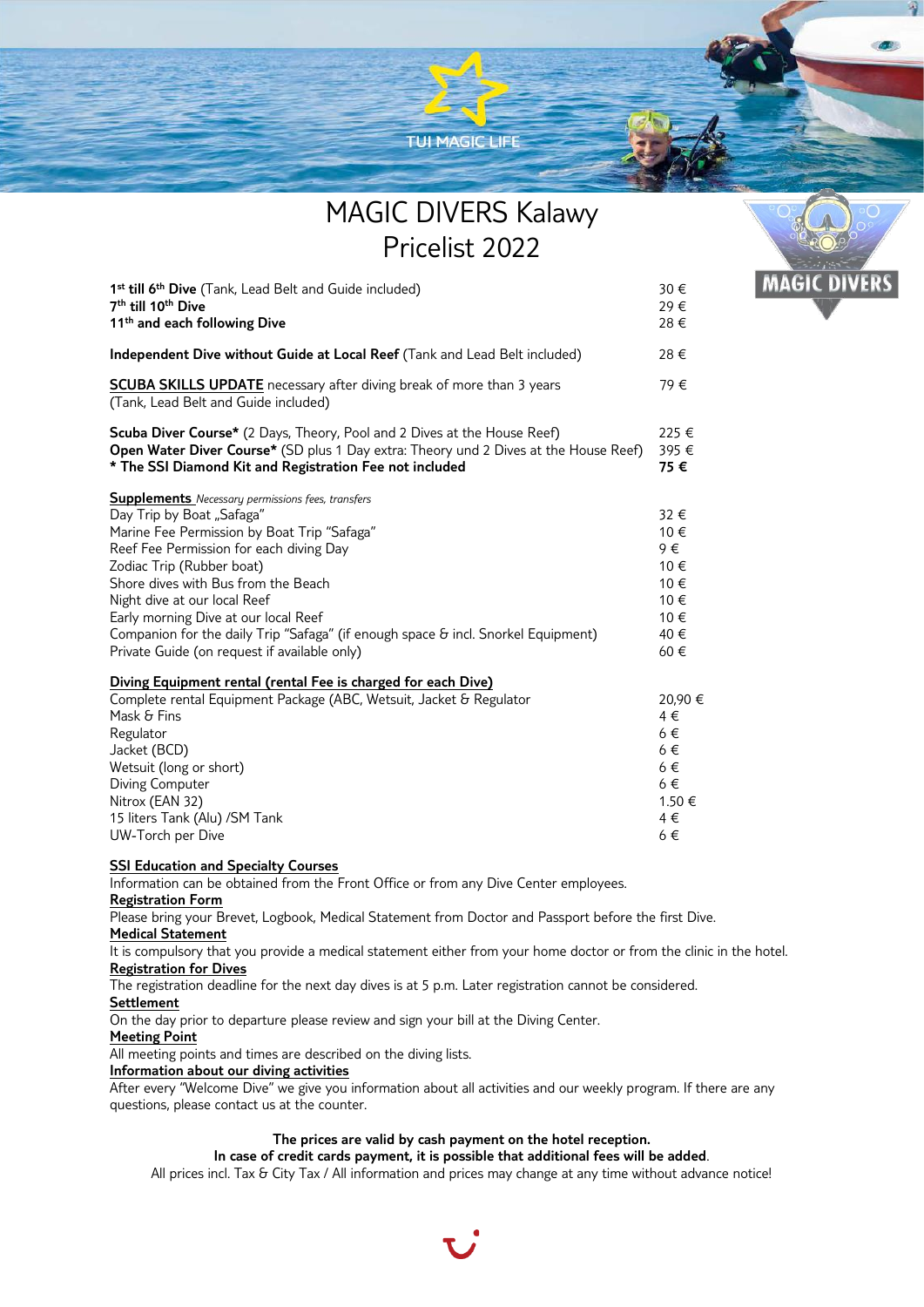

# MAGIC DIVERS Kalawy Pricelist 2022

**MAGIC DIVERS** 

| 1 <sup>st</sup> till 6 <sup>th</sup> Dive (Tank, Lead Belt and Guide included)<br>7 <sup>th</sup> till 10 <sup>th</sup> Dive<br>11 <sup>th</sup> and each following Dive                                                                                                                                                                                                                                                                                         | 30€<br>29€<br>28€                                                        |
|------------------------------------------------------------------------------------------------------------------------------------------------------------------------------------------------------------------------------------------------------------------------------------------------------------------------------------------------------------------------------------------------------------------------------------------------------------------|--------------------------------------------------------------------------|
| Independent Dive without Guide at Local Reef (Tank and Lead Belt included)                                                                                                                                                                                                                                                                                                                                                                                       | 28€                                                                      |
| <b>SCUBA SKILLS UPDATE</b> necessary after diving break of more than 3 years<br>(Tank, Lead Belt and Guide included)                                                                                                                                                                                                                                                                                                                                             | 79€                                                                      |
| Scuba Diver Course* (2 Days, Theory, Pool and 2 Dives at the House Reef)<br>Open Water Diver Course* (SD plus 1 Day extra: Theory und 2 Dives at the House Reef)<br>* The SSI Diamond Kit and Registration Fee not included                                                                                                                                                                                                                                      | 225 €<br>395€<br>75€                                                     |
| <b>Supplements</b> Necessary permissions fees, transfers<br>Day Trip by Boat "Safaga"<br>Marine Fee Permission by Boat Trip "Safaga"<br>Reef Fee Permission for each diving Day<br>Zodiac Trip (Rubber boat)<br>Shore dives with Bus from the Beach<br>Night dive at our local Reef<br>Early morning Dive at our local Reef<br>Companion for the daily Trip "Safaga" (if enough space & incl. Snorkel Equipment)<br>Private Guide (on request if available only) | 32 €<br>10€<br>9€<br>10€<br>10€<br>10€<br>10€<br>40€<br>60€              |
| Diving Equipment rental (rental Fee is charged for each Dive)<br>Complete rental Equipment Package (ABC, Wetsuit, Jacket & Regulator<br>Mask & Fins<br>Regulator<br>Jacket (BCD)<br>Wetsuit (long or short)<br>Diving Computer<br>Nitrox (EAN 32)<br>15 liters Tank (Alu) / SM Tank<br>UW-Torch per Dive                                                                                                                                                         | 20,90€<br>4€<br>$6 \in$<br>$6 \in$<br>$6 \in$<br>6€<br>1.50€<br>4€<br>6€ |

# **SSI Education and Specialty Courses**

Information can be obtained from the Front Office or from any Dive Center employees.

**Registration Form**

Please bring your Brevet, Logbook, Medical Statement from Doctor and Passport before the first Dive.

## **Medical Statement**

It is compulsory that you provide a medical statement either from your home doctor or from the clinic in the hotel. **Registration for Dives**

## The registration deadline for the next day dives is at 5 p.m. Later registration cannot be considered.

### **Settlement**

On the day prior to departure please review and sign your bill at the Diving Center.

### **Meeting Point**

All meeting points and times are described on the diving lists.

## **Information about our diving activities**

After every "Welcome Dive" we give you information about all activities and our weekly program. If there are any questions, please contact us at the counter.

# **The prices are valid by cash payment on the hotel reception.**

**In case of credit cards payment, it is possible that additional fees will be added**.

All prices incl. Tax & City Tax / All information and prices may change at any time without advance notice!